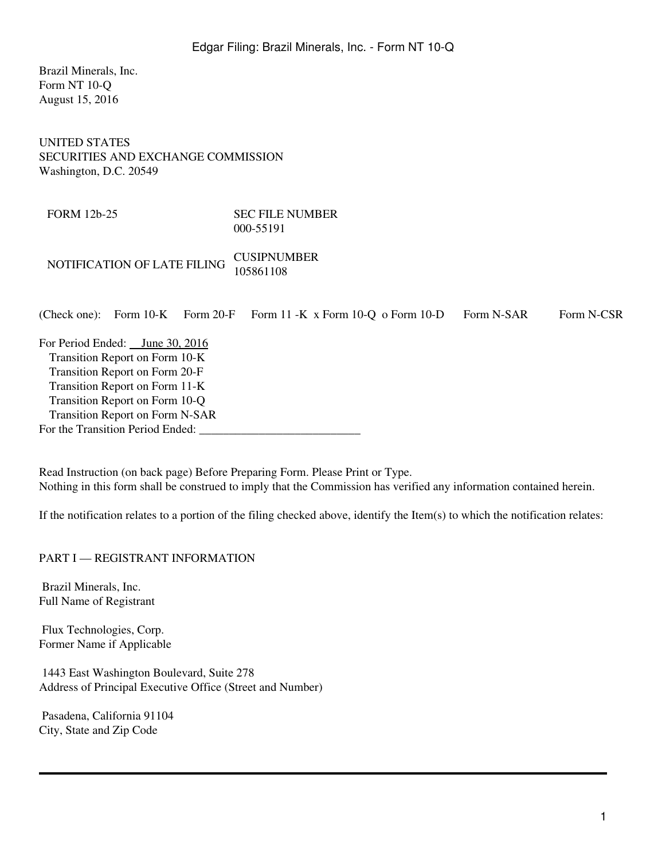Brazil Minerals, Inc. Form NT 10-Q August 15, 2016

UNITED STATES SECURITIES AND EXCHANGE COMMISSION Washington, D.C. 20549

FORM 12b-25 SEC FILE NUMBER 000-55191

NOTIFICATION OF LATE FILING CUSIPNUMBER 105861108

| (Check one): Form $10\text{-K}$ Form $20\text{-F}$ | Form $11 - K \times$ Form $10 - Q \text{ o Form } 10 - D$ | Form N-SAR | Form N-CSR |
|----------------------------------------------------|-----------------------------------------------------------|------------|------------|
| For Period Ended: $\_\$ June 30, 2016              |                                                           |            |            |
| Transition Report on Form 10-K                     |                                                           |            |            |
| Transition Report on Form 20-F                     |                                                           |            |            |
| Transition Report on Form 11-K                     |                                                           |            |            |
| Transition Report on Form 10-Q                     |                                                           |            |            |
| Transition Report on Form N-SAR                    |                                                           |            |            |
| For the Transition Period Ended:                   |                                                           |            |            |
|                                                    |                                                           |            |            |

Read Instruction (on back page) Before Preparing Form. Please Print or Type. Nothing in this form shall be construed to imply that the Commission has verified any information contained herein.

If the notification relates to a portion of the filing checked above, identify the Item(s) to which the notification relates:

PART I — REGISTRANT INFORMATION

 Brazil Minerals, Inc. Full Name of Registrant

 Flux Technologies, Corp. Former Name if Applicable

 1443 East Washington Boulevard, Suite 278 Address of Principal Executive Office (Street and Number)

 Pasadena, California 91104 City, State and Zip Code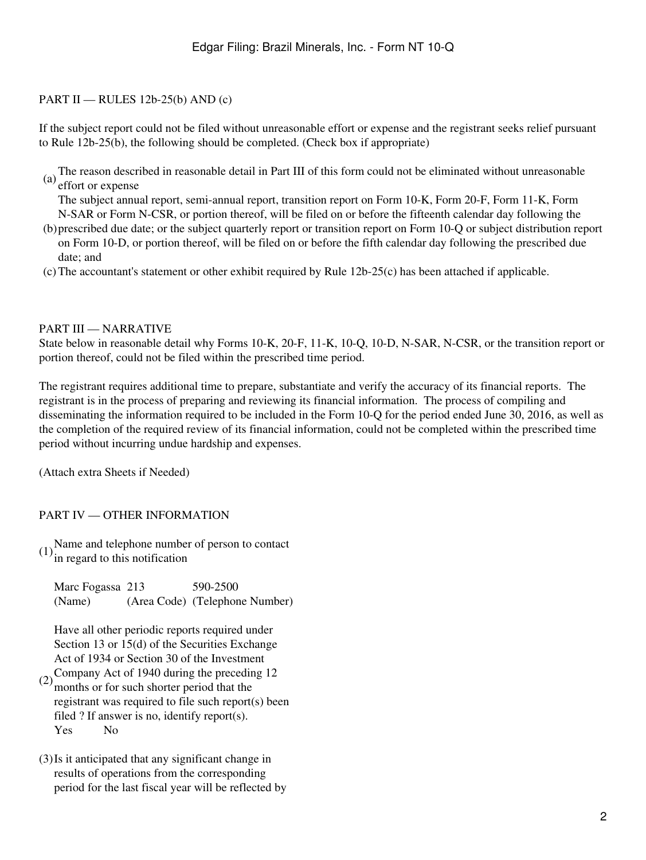## PART II — RULES 12b-25(b) AND (c)

If the subject report could not be filed without unreasonable effort or expense and the registrant seeks relief pursuant to Rule 12b-25(b), the following should be completed. (Check box if appropriate)

(a) The reason described in reasonable detail in Part III of this form could not be eliminated without unreasonable effort or expense

The subject annual report, semi-annual report, transition report on Form 10-K, Form 20-F, Form 11-K, Form N-SAR or Form N-CSR, or portion thereof, will be filed on or before the fifteenth calendar day following the

- (b) prescribed due date; or the subject quarterly report or transition report on Form 10-Q or subject distribution report on Form 10-D, or portion thereof, will be filed on or before the fifth calendar day following the prescribed due date; and
- $(c)$ The accountant's statement or other exhibit required by Rule 12b-25 $(c)$  has been attached if applicable.

## PART III — NARRATIVE

State below in reasonable detail why Forms 10-K, 20-F, 11-K, 10-Q, 10-D, N-SAR, N-CSR, or the transition report or portion thereof, could not be filed within the prescribed time period.

The registrant requires additional time to prepare, substantiate and verify the accuracy of its financial reports. The registrant is in the process of preparing and reviewing its financial information. The process of compiling and disseminating the information required to be included in the Form 10-Q for the period ended June 30, 2016, as well as the completion of the required review of its financial information, could not be completed within the prescribed time period without incurring undue hardship and expenses.

(Attach extra Sheets if Needed)

## PART IV — OTHER INFORMATION

 $(1)$ <sup>Name</sup> and telephone number of person to contact<br>in regard to this notification

| Marc Fogassa 213 | 590-2500                       |
|------------------|--------------------------------|
| (Name)           | (Area Code) (Telephone Number) |

Have all other periodic reports required under Section 13 or 15(d) of the Securities Exchange Act of 1934 or Section 30 of the Investment

- $(2)$  Company Act of 1940 during the preceding 12 months or for such shorter period that the registrant was required to file such report(s) been filed ? If answer is no, identify report(s). Yes No
- (3)Is it anticipated that any significant change in results of operations from the corresponding period for the last fiscal year will be reflected by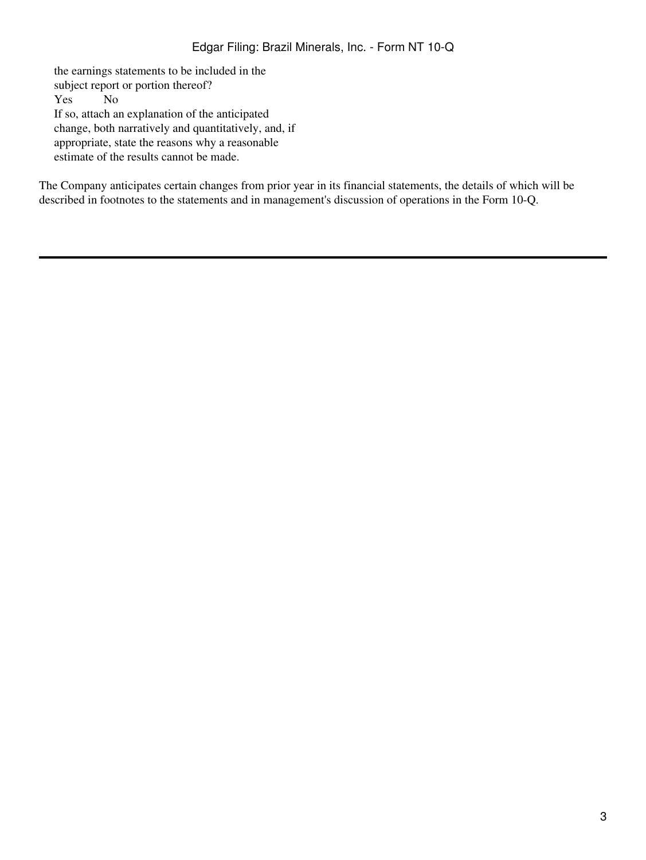the earnings statements to be included in the subject report or portion thereof? Yes No If so, attach an explanation of the anticipated change, both narratively and quantitatively, and, if appropriate, state the reasons why a reasonable estimate of the results cannot be made.

The Company anticipates certain changes from prior year in its financial statements, the details of which will be described in footnotes to the statements and in management's discussion of operations in the Form 10-Q.